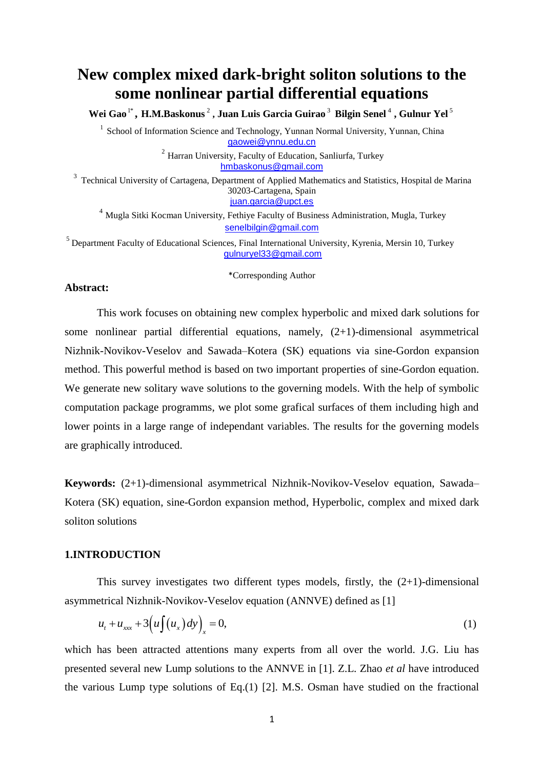# **New complex mixed dark-bright soliton solutions to the some nonlinear partial differential equations**

**Wei Gao** 1\* **, H.M.Baskonus** 2 **, Juan Luis Garcia Guirao** 3 **Bilgin Senel** 4 **, Gulnur Yel** 5

<sup>1</sup> School of Information Science and Technology, Yunnan Normal University, Yunnan, China [gaowei@ynnu.edu.cn](mailto:gaowei@ynnu.edu.cn)

> $2$  Harran University, Faculty of Education, Sanliurfa, Turkey [hmbaskonus@gmail.com](mailto:hmbaskonus@gmail.com)

<sup>3</sup> Technical University of Cartagena, Department of Applied Mathematics and Statistics, Hospital de Marina 30203-Cartagena, Spain [juan.garcia@upct.es](mailto:juan.garcia@upct.es)

<sup>4</sup> Mugla Sitki Kocman University, Fethiye Faculty of Business Administration, Mugla, Turkey [senelbilgin@gmail.com](mailto:senelbilgin@gmail.com)

<sup>5</sup> Department Faculty of Educational Sciences, Final International University, Kyrenia, Mersin 10, Turkey [gulnuryel33@gmail.com](mailto:gulnuryel33@gmail.com)

\*Corresponding Author

## **Abstract:**

This work focuses on obtaining new complex hyperbolic and mixed dark solutions for some nonlinear partial differential equations, namely, (2+1)-dimensional asymmetrical Nizhnik-Novikov-Veselov and Sawada–Kotera (SK) equations via sine-Gordon expansion method. This powerful method is based on two important properties of sine-Gordon equation. We generate new solitary wave solutions to the governing models. With the help of symbolic computation package programms, we plot some grafical surfaces of them including high and lower points in a large range of independant variables. The results for the governing models are graphically introduced.

**Keywords:** (2+1)-dimensional asymmetrical Nizhnik-Novikov-Veselov equation, Sawada– Kotera (SK) equation, sine-Gordon expansion method, Hyperbolic, complex and mixed dark soliton solutions

## **1.INTRODUCTION**

This survey investigates two different types models, firstly, the  $(2+1)$ -dimensional asymmetrical Nizhnik-Novikov-Veselov equation (ANNVE) defined as [1]

$$
u_t + u_{xxx} + 3\left(u\int(u_x)dv\right)_x = 0,\tag{1}
$$

which has been attracted attentions many experts from all over the world. J.G. Liu has presented several new Lump solutions to the ANNVE in [1]. Z.L. Zhao *et al* have introduced the various Lump type solutions of Eq.(1) [2]. M.S. Osman have studied on the fractional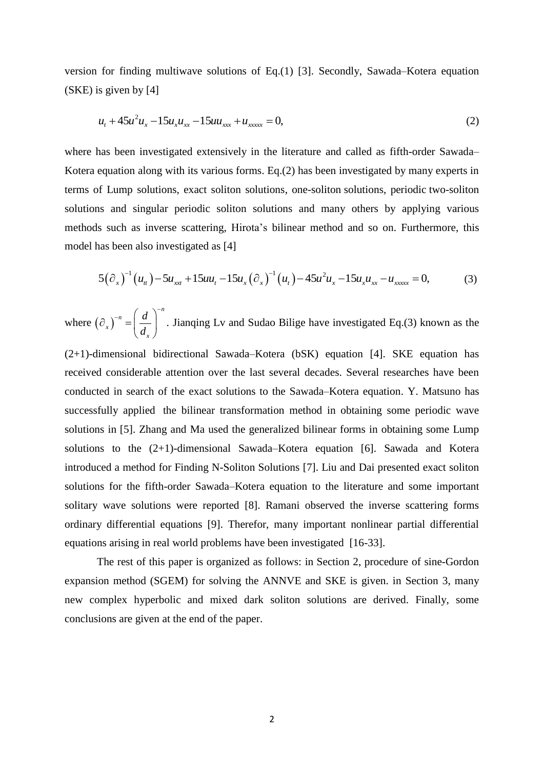version for finding multiwave solutions of Eq.(1) [3]. Secondly, Sawada–Kotera equation (SKE) is given by [4]

$$
u_t + 45u^2 u_x - 15u_x u_{xx} - 15u u_{xxx} + u_{xxxx} = 0,
$$
\t(2)

where has been investigated extensively in the literature and called as fifth-order Sawada– Kotera equation along with its various forms. Eq.(2) has been investigated by many experts in terms of Lump solutions, exact soliton solutions, one-soliton [solutions, periodic](https://www.sciencedirect.com/topics/mathematics/periodic-solution) two-soliton solutions and singular periodic soliton solutions and many others by applying various methods such as inverse scattering, Hirota's bilinear method and so on. Furthermore, this model has been also investigated as [4]

has been also investigated as [4]  

$$
5(\partial_x)^{-1}(u_{tt}) - 5u_{xxt} + 15uu_t - 15u_x(\partial_x)^{-1}(u_t) - 45u^2u_x - 15u_xu_{xx} - u_{xxxx} = 0,
$$
 (3)

where  $(\partial_x)^{-n} = \left| \frac{a}{b} \right|$ .  $\left(\frac{\partial}{\partial x}\right)^{-n} = \left(\frac{d}{d_x}\right)^{-n}$ *n x x d d* Jianqing Lv and Sudao Bilige have investigated Eq.(3) known as the

(2+1)-dimensional bidirectional Sawada–Kotera (bSK) equation [4]. SKE equation has received considerable attention over the last several decades. Several researches have been conducted in search of the exact solutions to the Sawada–Kotera equation. Y. Matsuno has successfully applied [the bilinear transformation method](http://www.amazon.com/exec/obidos/ASIN/0124804802/ref=nosim/ericstreasuretro) in obtaining some periodic wave [solutions](http://www.amazon.com/exec/obidos/ASIN/0124804802/ref=nosim/ericstreasuretro) in [5]. Zhang and Ma used the generalized bilinear forms in obtaining some Lump solutions to the (2+1)-dimensional Sawada–Kotera equation [6]. Sawada and Kotera introduced a method for Finding N-Soliton Solutions [7]. Liu and Dai presented exact soliton solutions for the fifth-order Sawada–Kotera equation to the literature and some important solitary wave solutions were reported [8]. Ramani observed the inverse scattering forms ordinary differential equations [9]. Therefor, many important nonlinear partial differential equations arising in real world problems have been investigated [16-33].

The rest of this paper is organized as follows: in Section 2, procedure of sine-Gordon expansion method (SGEM) for solving the ANNVE and SKE is given. in Section 3, many new complex hyperbolic and mixed dark soliton solutions are derived. Finally, some conclusions are given at the end of the paper.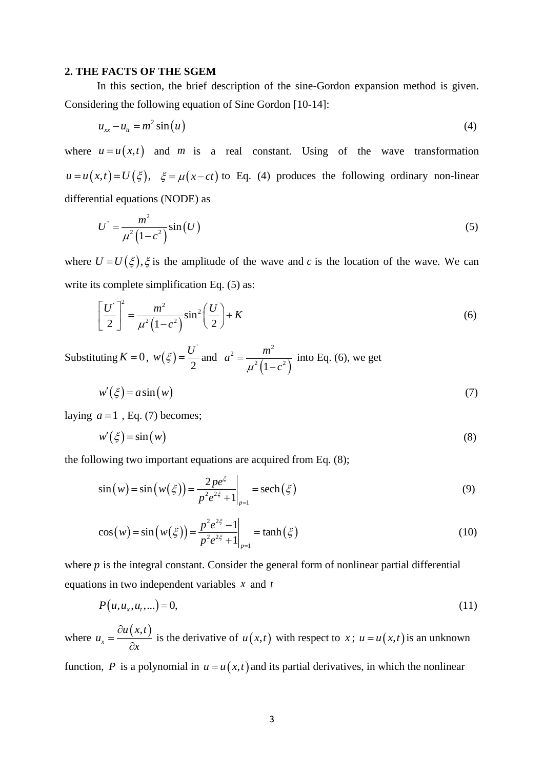## **2. THE FACTS OF THE SGEM**

In this section, the brief description of the sine-Gordon expansion method is given. Considering the following equation of Sine Gordon [10-14]:

$$
u_{xx} - u_t = m^2 \sin(u) \tag{4}
$$

where  $u = u(x,t)$  and m is a real constant. Using of the wave transformation  $u = u(x,t) = U(\xi)$ ,  $\xi = \mu(x-ct)$  to Eq. (4) produces the following ordinary non-linear differential equations (NODE) as

$$
U^{\dagger} = \frac{m^2}{\mu^2 (1 - c^2)} \sin(U) \tag{5}
$$

where  $U = U(\xi)$ ,  $\xi$  is the amplitude of the wave and c is the location of the wave. We can write its complete simplification Eq.  $(5)$  as:

$$
\left[\frac{U}{2}\right]^2 = \frac{m^2}{\mu^2 \left(1 - c^2\right)} \sin^2\left(\frac{U}{2}\right) + K\tag{6}
$$

Substituting  $K = 0$ ,  $w(\xi) = \frac{U^{\dagger}}{2}$ 2  $w(\xi) = \frac{U}{\xi}$  and  $(1-c^2)$  $2 \left( m^2 \right)$  $^{2}(1-c^{2}% )^{2}$  $a^2 = \frac{m}{a^2}$  $\mu^2(1-c)$  $=$  $\overline{a}$ into Eq. (6), we get

$$
w'(\xi) = a\sin(w) \tag{7}
$$

laying  $a = 1$ , Eq. (7) becomes;

$$
w'(\xi) = \sin(w) \tag{8}
$$

the following two important equations are acquired from Eq. (8);

$$
\sin(w) = \sin(w(\xi)) = \frac{2pe^{\xi}}{p^2e^{2\xi} + 1}\bigg|_{p=1} = \mathrm{sech}(\xi)
$$
(9)

$$
\cos(w) = \sin(w(\xi)) = \frac{p^2 e^{2\xi} - 1}{p^2 e^{2\xi} + 1}\Big|_{p=1} = \tanh(\xi)
$$
(10)

where  $p$  is the integral constant. Consider the general form of nonlinear partial differential equations in two independent variables *x* and *t*

$$
P(u, u_x, u_t, \ldots) = 0,\tag{11}
$$

where  $=\frac{\partial u(x,t)}{\partial x}$  $\alpha$ <sup>x</sup>  $\alpha$ <sup>2</sup>  $u(x,t)$ *u x* is the derivative of  $u(x,t)$  with respect to  $x$ ;  $u = u(x,t)$  is an unknown

function, P is a polynomial in  $u = u(x,t)$  and its partial derivatives, in which the nonlinear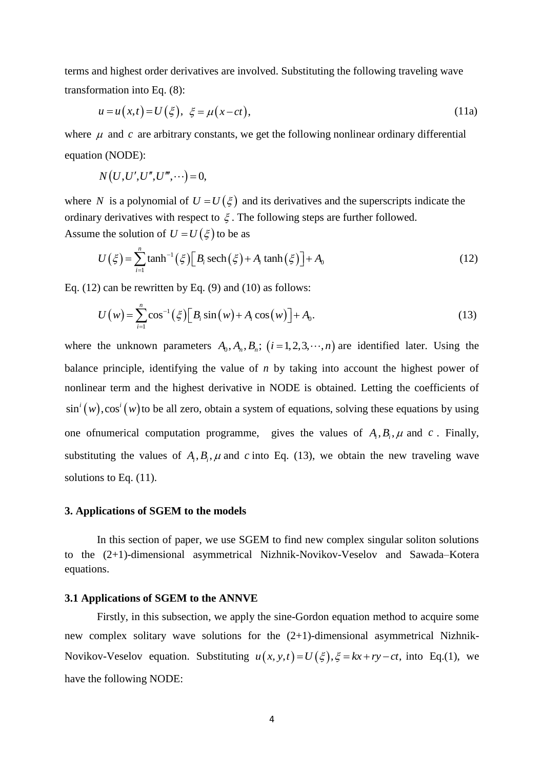terms and highest order derivatives are involved. Substituting the following traveling wave transformation into Eq. (8):

$$
u = u(x,t) = U(\xi), \ \xi = \mu(x-ct), \tag{11a}
$$

where  $\mu$  and  $c$  are arbitrary constants, we get the following nonlinear ordinary differential equation (NODE):

$$
N(U, U', U'', U''', \cdots) = 0,
$$

where N is a polynomial of  $U = U(\xi)$  and its derivatives and the superscripts indicate the ordinary derivatives with respect to  $\xi$ . The following steps are further followed.

Assume the solution of 
$$
U = U(\xi)
$$
 to be as  
\n
$$
U(\xi) = \sum_{i=1}^{n} \tanh^{-1}(\xi) \Big[ B_i \operatorname{sech}(\xi) + A_i \tanh(\xi) \Big] + A_0
$$
\n(12)

Eq. (12) can be rewritten by Eq. (9) and (10) as follows:  
\n
$$
U(w) = \sum_{i=1}^{n} \cos^{-1}(\xi) \Big[ B_i \sin(w) + A_i \cos(w) \Big] + A_0.
$$
\n(13)

where the unknown parameters  $A_0$ ,  $A_n$ ,  $B_n$ ;  $(i=1, 2, 3, \dots, n)$  are identified later. Using the balance principle, identifying the value of *n* by taking into account the highest power of nonlinear term and the highest derivative in NODE is obtained. Letting the coefficients of  $\sin^i(w)$ ,  $\cos^i(w)$  to be all zero, obtain a system of equations, solving these equations by using one of numerical computation programme, gives the values of  $A_i, B_i, \mu$  and  $c$ . Finally, substituting the values of  $A_i, B_i, \mu$  and c into Eq. (13), we obtain the new traveling wave solutions to Eq.  $(11)$ .

#### **3. Applications of SGEM to the models**

In this section of paper, we use SGEM to find new complex singular soliton solutions to the (2+1)-dimensional asymmetrical Nizhnik-Novikov-Veselov and Sawada–Kotera equations.

#### **3.1 Applications of SGEM to the ANNVE**

Firstly, in this subsection, we apply the sine-Gordon equation method to acquire some new complex solitary wave solutions for the (2+1)-dimensional asymmetrical Nizhnik-Novikov-Veselov equation. Substituting  $u(x, y, t) = U(\xi), \xi = kx + ry - ct$ , into Eq.(1), we have the following NODE: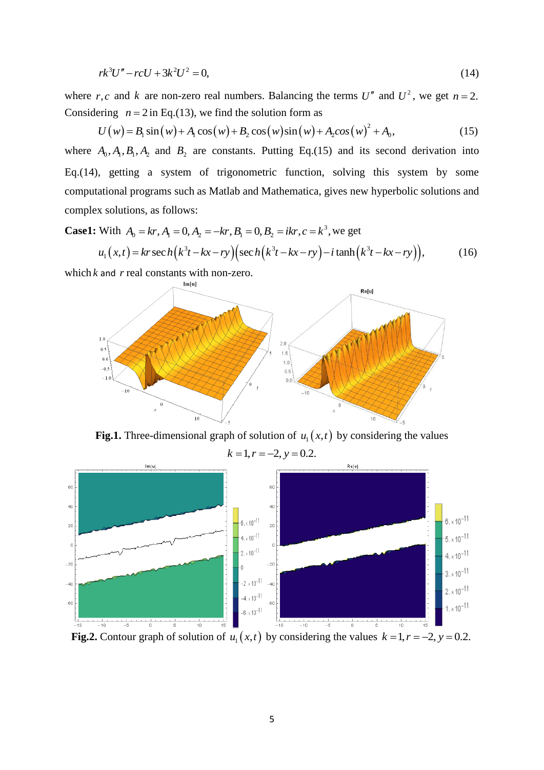$$
rk^3U'' - rcU + 3k^2U^2 = 0,
$$
\t(14)

where *r*,*c* and *k* are non-zero real numbers. Balancing the terms *U*<sup>n</sup> and *U*<sup>2</sup>, we get *n* = 2.<br>Considering *n* = 2 in Eq.(13), we find the solution form as<br> $U(w) = B_1 \sin(w) + A_1 \cos(w) + B_2 \cos(w) \sin(w) + A_2 \cos(w)^2 + A_0$ , (15) Considering  $n = 2$  in Eq.(13), we find the solution form as

$$
U(w) = B_1 \sin(w) + A_1 \cos(w) + B_2 \cos(w) \sin(w) + A_2 \cos(w)^2 + A_0,
$$
 (15)

where  $A_0$ ,  $A_1$ ,  $B_1$ ,  $A_2$  and  $B_2$  are constants. Putting Eq.(15) and its second derivation into Eq.(14), getting a system of trigonometric function, solving this system by some computational programs such as Matlab and Mathematica, gives new hyperbolic solutions and complex solutions, as follows:

complex solutions, as follows:  
\n**Case1:** With 
$$
A_0 = kr
$$
,  $A_1 = 0$ ,  $A_2 = -kr$ ,  $B_1 = 0$ ,  $B_2 = ikr$ ,  $c = k^3$ , we get  
\n
$$
u_1(x,t) = kr \sec h(k^3t - kx - ry) \Big( \sec h(k^3t - kx - ry) - i \tanh(k^3t - kx - ry) \Big), \qquad (16)
$$

which  $k$  and  $r$  real constants with non-zero.



**Fig.1.** Three-dimensional graph of solution of  $u_1(x,t)$  by considering the values  $k = 1, r = -2, y = 0.2.$ 



**Fig.2.** Contour graph of solution of  $u_1(x,t)$  by considering the values  $k = 1, r = -2, y = 0.2$ .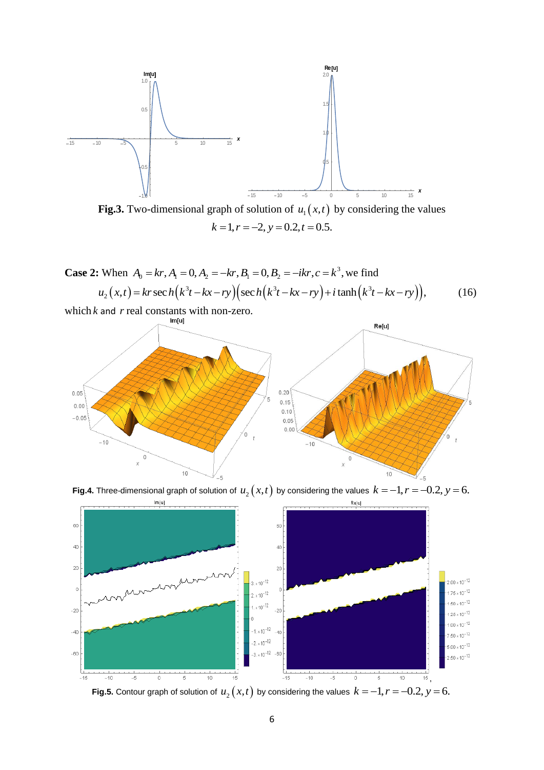

**Fig.3.** Two-dimensional graph of solution of  $u_1(x,t)$  by considering the values  $k = 1, r = -2, y = 0.2, t = 0.5.$ 

Case 2: When 
$$
A_0 = kr
$$
,  $A_1 = 0$ ,  $A_2 = -kr$ ,  $B_1 = 0$ ,  $B_2 = -ikr$ ,  $c = k^3$ , we find  
\n
$$
u_2(x,t) = kr \sec h(k^3t - kx - ry) \Big( \sec h(k^3t - kx - ry) + i \tanh(k^3t - kx - ry) \Big), \tag{16}
$$

which  $k$  and  $r$  real constants with non-zero.



**Fig.4.** Three-dimensional graph of solution of  $u_2(x,t)$  by considering the values  $k = -1, r = -0.2, y = 6$ .



**Fig.5.** Contour graph of solution of  $u_2(x,t)$  by considering the values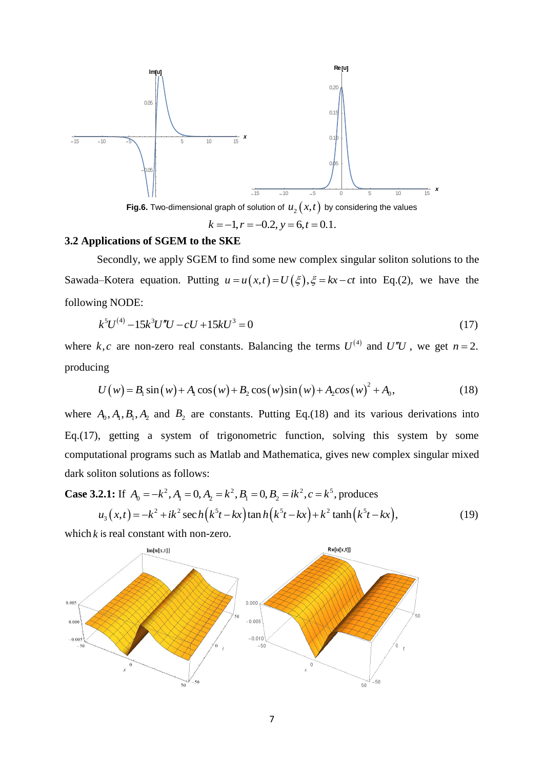

**Fig.6.** Two-dimensional graph of solution of  $u_2(x,t)$  by considering the values

 $k = -1, r = -0.2, y = 6, t = 0.1.$ 

## **3.2 Applications of SGEM to the SKE**

Secondly, we apply SGEM to find some new complex singular soliton solutions to the Sawada–Kotera equation. Putting  $u = u(x,t) = U(\xi), \xi = kx - ct$  into Eq.(2), we have the following NODE:

$$
k^5 U^{(4)} - 15k^3 U''U - cU + 15kU^3 = 0
$$
\n(17)

where  $k, c$  are non-zero real constants. Balancing the terms  $U^{(4)}$  and  $U''U$ , we get  $n = 2$ . producing ng<br>  $U(w) = B_1 \sin(w) + A_1 \cos(w) + B_2 \cos(w) \sin(w) + A_2 \cos(w)^2 + A_0,$ 

$$
U(w) = B_1 \sin(w) + A_1 \cos(w) + B_2 \cos(w) \sin(w) + A_2 \cos(w)^2 + A_0,
$$
 (18)

where  $A_0$ ,  $A_1$ ,  $B_1$ ,  $A_2$  and  $B_2$  are constants. Putting Eq.(18) and its various derivations into Eq.(17), getting a system of trigonometric function, solving this system by some computational programs such as Matlab and Mathematica, gives new complex singular mixed dark soliton solutions as follows:

dark soliton solutions as follows:  
\n**Case 3.2.1:** If 
$$
A_0 = -k^2
$$
,  $A_1 = 0$ ,  $A_2 = k^2$ ,  $B_1 = 0$ ,  $B_2 = ik^2$ ,  $c = k^5$ , produces  
\n $u_3(x,t) = -k^2 + ik^2 \sec h(k^5t - kx) \tan h(k^5t - kx) + k^2 \tanh(k^5t - kx)$ , (19)

which  $k$  is real constant with non-zero.

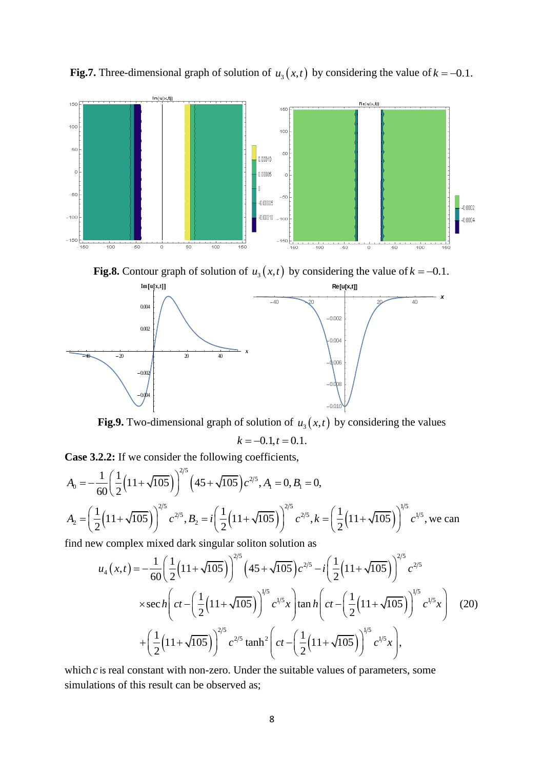

**Fig.7.** Three-dimensional graph of solution of  $u_3(x,t)$  by considering the value of  $k = -0.1$ .

**Fig.8.** Contour graph of solution of  $u_3(x,t)$  by considering the value of  $k = -0.1$ .



**Fig.9.** Two-dimensional graph of solution of  $u_3(x,t)$  by considering the values

$$
k = -0.1, t = 0.1.
$$

**Case 3.2.2:** If we consider the following coefficients,

Case 3.2.2: If we consider the following coefficients,  
\n
$$
A_0 = -\frac{1}{60} \left( \frac{1}{2} \left( 11 + \sqrt{105} \right) \right)^{2/5} \left( 45 + \sqrt{105} \right) c^{2/5}, A_1 = 0, B_1 = 0,
$$
\n
$$
A_2 = \left( \frac{1}{2} \left( 11 + \sqrt{105} \right) \right)^{2/5} c^{2/5}, B_2 = i \left( \frac{1}{2} \left( 11 + \sqrt{105} \right) \right)^{2/5} c^{2/5}, k = \left( \frac{1}{2} \left( 11 + \sqrt{105} \right) \right)^{1/5} c^{1/5},
$$
\nwe can find now complex mixed dark singular solution as

find new complex mixed dark singular soliton solution as

$$
\left[\frac{1}{2}(11+\sqrt{105})\right] e^{-t^2}, B_2 = t\left[\frac{1}{2}(11+\sqrt{105})\right] e^{-t^2}, k = \left[\frac{1}{2}(11+\sqrt{105})\right] e^{-t^2}, \text{ we can}
$$
\n
$$
\text{where } \text{mixed dark singular solution as}
$$
\n
$$
u_4(x,t) = -\frac{1}{60}\left(\frac{1}{2}(11+\sqrt{105})\right)^{2/5} \left(45+\sqrt{105}\right) e^{-2/5} - i\left(\frac{1}{2}(11+\sqrt{105})\right)^{2/5} e^{-2/5}
$$
\n
$$
\times \text{sec}\,h \left(ct - \left(\frac{1}{2}(11+\sqrt{105})\right)^{1/5} e^{-1/5}x\right) \tan h \left(ct - \left(\frac{1}{2}(11+\sqrt{105})\right)^{1/5} e^{-1/5}x\right) \tag{20}
$$
\n
$$
+ \left(\frac{1}{2}(11+\sqrt{105})\right)^{2/5} e^{-2/5} \tanh^2 \left(ct - \left(\frac{1}{2}(11+\sqrt{105})\right)^{1/5} e^{-1/5}x\right),
$$
\nwhere the correct right is no point is the positive number of constants, we can

which  $c$  is real constant with non-zero. Under the suitable values of parameters, some simulations of this result can be observed as;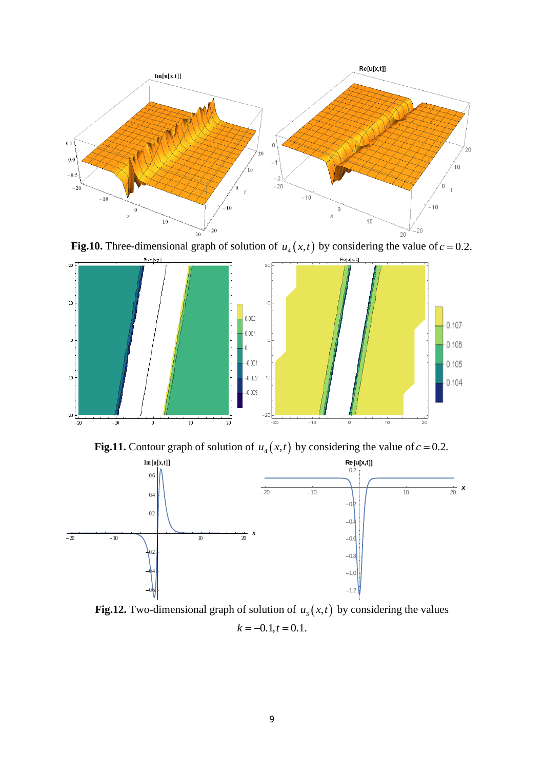

**Fig.10.** Three-dimensional graph of solution of  $u_4(x,t)$  by considering the value of  $c = 0.2$ .



**Fig.11.** Contour graph of solution of  $u_4(x,t)$  by considering the value of  $c = 0.2$ .



**Fig.12.** Two-dimensional graph of solution of  $u_3(x,t)$  by considering the values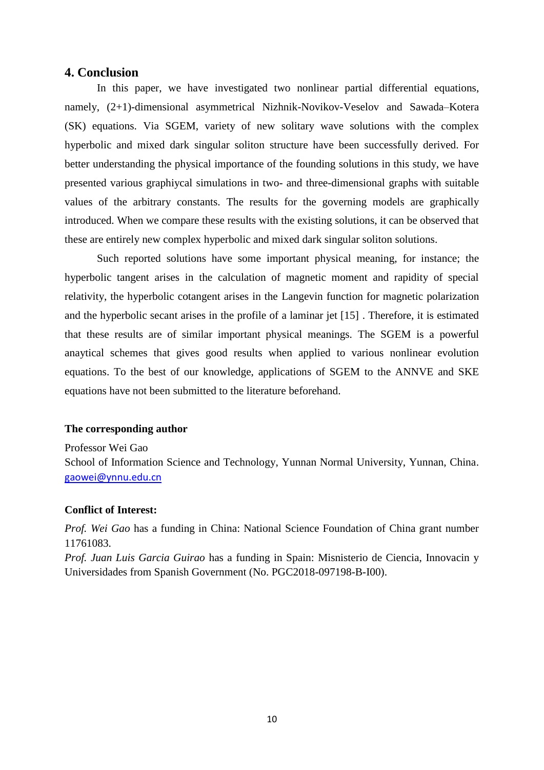## **4. Conclusion**

In this paper, we have investigated two nonlinear partial differential equations, namely, (2+1)-dimensional asymmetrical Nizhnik-Novikov-Veselov and Sawada–Kotera (SK) equations. Via SGEM, variety of new solitary wave solutions with the complex hyperbolic and mixed dark singular soliton structure have been successfully derived. For better understanding the physical importance of the founding solutions in this study, we have presented various graphiycal simulations in two- and three-dimensional graphs with suitable values of the arbitrary constants. The results for the governing models are graphically introduced. When we compare these results with the existing solutions, it can be observed that these are entirely new complex hyperbolic and mixed dark singular soliton solutions.

Such reported solutions have some important physical meaning, for instance; the hyperbolic tangent arises in the calculation of magnetic moment and rapidity of special relativity, the hyperbolic cotangent arises in the Langevin function for magnetic polarization and the hyperbolic secant arises in the profile of a laminar jet [15] . Therefore, it is estimated that these results are of similar important physical meanings. The SGEM is a powerful anaytical schemes that gives good results when applied to various nonlinear evolution equations. To the best of our knowledge, applications of SGEM to the ANNVE and SKE equations have not been submitted to the literature beforehand.

## **The corresponding author**

Professor Wei Gao

School of Information Science and Technology, Yunnan Normal University, Yunnan, China. [gaowei@ynnu.edu.cn](mailto:gaowei@ynnu.edu.cn)

## **Conflict of Interest:**

*Prof. Wei Gao* has a funding in China: National Science Foundation of China grant number 11761083.

*Prof. Juan Luis Garcia Guirao* has a funding in Spain: Misnisterio de Ciencia, Innovacin y Universidades from Spanish Government (No. PGC2018-097198-B-I00).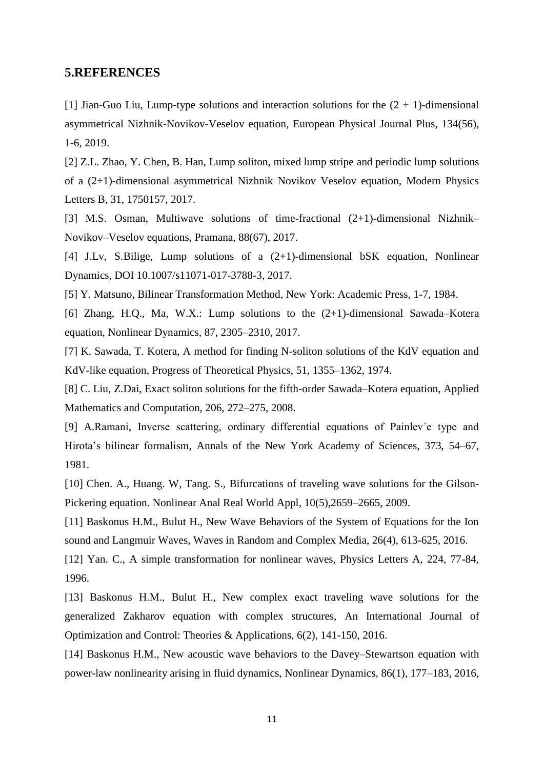## **5.REFERENCES**

[1] Jian-Guo Liu, Lump-type solutions and interaction solutions for the  $(2 + 1)$ -dimensional asymmetrical Nizhnik-Novikov-Veselov equation, European Physical Journal Plus, 134(56), 1-6, 2019.

[2] Z.L. Zhao, Y. Chen, B. Han, Lump soliton, mixed lump stripe and periodic lump solutions of a (2+1)-dimensional asymmetrical Nizhnik Novikov Veselov equation, Modern Physics Letters B, 31, 1750157, 2017.

[3] M.S. Osman, Multiwave solutions of time-fractional (2+1)-dimensional Nizhnik– Novikov–Veselov equations, Pramana, 88(67), 2017.

[4] J.Lv, S.Bilige, Lump solutions of a  $(2+1)$ -dimensional bSK equation, Nonlinear Dynamics, DOI 10.1007/s11071-017-3788-3, 2017.

[5] Y. Matsuno, [Bilinear Transformation Method,](http://www.amazon.com/exec/obidos/ASIN/0124804802/ref=nosim/ericstreasuretro) New York: Academic Press, 1-7, 1984.

[6] Zhang, H.Q., Ma, W.X.: Lump solutions to the (2+1)-dimensional Sawada–Kotera equation, Nonlinear Dynamics, 87, 2305–2310, 2017.

[7] K. Sawada, T. Kotera, A method for finding N-soliton solutions of the KdV equation and KdV-like equation, Progress of Theoretical Physics, 51, 1355–1362, 1974.

[8] C. Liu, Z.Dai, Exact soliton solutions for the fifth-order Sawada–Kotera equation, Applied Mathematics and Computation, 206, 272–275, 2008.

[9] A.Ramani, Inverse scattering, ordinary differential equations of Painlev´e type and Hirota's bilinear formalism, Annals of the New York Academy of Sciences, 373, 54–67, 1981.

[10] Chen. A., Huang. W, Tang. S., Bifurcations of traveling wave solutions for the Gilson-Pickering equation. Nonlinear Anal Real World Appl, 10(5),2659–2665, 2009.

[11] Baskonus H.M., Bulut H., New Wave Behaviors of the System of Equations for the Ion sound and Langmuir Waves, Waves in Random and Complex Media, 26(4), 613-625, 2016.

[12] Yan. C., A simple transformation for nonlinear waves, Physics Letters A, 224, 77-84, 1996.

[13] Baskonus H.M., Bulut H., New complex exact traveling wave solutions for the generalized Zakharov equation with complex structures, An International Journal of Optimization and Control: Theories & Applications, 6(2), 141-150, 2016.

[14] Baskonus H.M., New acoustic wave behaviors to the Davey–Stewartson equation with power-law nonlinearity arising in fluid dynamics, Nonlinear Dynamics, 86(1), 177–183, 2016,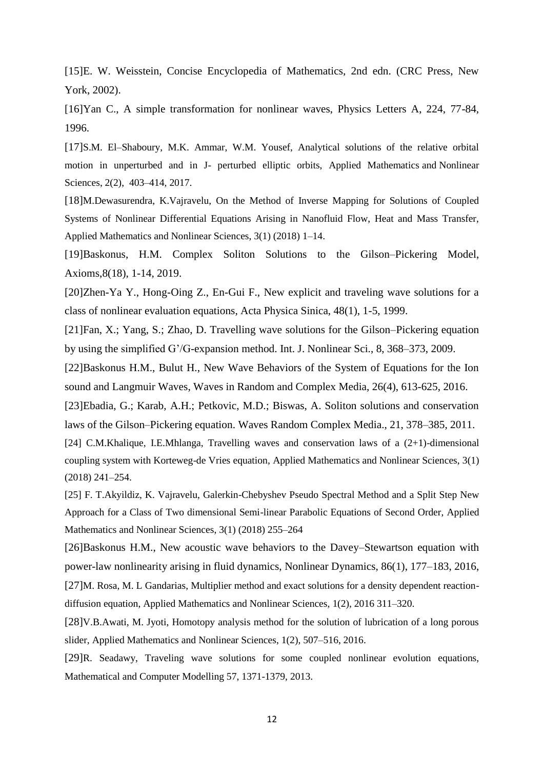[15]E. W. Weisstein, Concise Encyclopedia of Mathematics, 2nd edn. (CRC Press, New York, 2002).

[16]Yan C., A simple transformation for nonlinear waves, Physics Letters A, 224, 77-84, 1996.

[17]S.M. El–Shaboury, M.K. Ammar, W.M. Yousef, Analytical solutions of the relative orbital motion in unperturbed and in J- perturbed elliptic orbits, Applied Mathematics and Nonlinear Sciences, 2(2), 403–414, 2017.

[18]M.Dewasurendra, K.Vajravelu, On the Method of Inverse Mapping for Solutions of Coupled Systems of Nonlinear Differential Equations Arising in Nanofluid Flow, Heat and Mass Transfer, Applied Mathematics and Nonlinear Sciences, 3(1) (2018) 1–14.

[19]Baskonus, H.M. Complex Soliton Solutions to the Gilson–Pickering Model, Axioms,8(18), 1-14, 2019.

[20]Zhen-Ya Y., Hong-Oing Z., En-Gui F., New explicit and traveling wave solutions for a class of nonlinear evaluation equations, Acta Physica Sinica, 48(1), 1-5, 1999.

[21]Fan, X.; Yang, S.; Zhao, D. Travelling wave solutions for the Gilson–Pickering equation by using the simplified G'/G-expansion method. Int. J. Nonlinear Sci., 8, 368–373, 2009.

[22]Baskonus H.M., Bulut H., New Wave Behaviors of the System of Equations for the Ion sound and Langmuir Waves, Waves in Random and Complex Media, 26(4), 613-625, 2016.

[23]Ebadia, G.; Karab, A.H.; Petkovic, M.D.; Biswas, A. Soliton solutions and conservation laws of the Gilson–Pickering equation. Waves Random Complex Media., 21, 378–385, 2011.

[24] C.M.Khalique, I.E.Mhlanga, Travelling waves and conservation laws of a (2+1)-dimensional coupling system with Korteweg-de Vries equation, Applied Mathematics and Nonlinear Sciences, 3(1) (2018) 241–254.

[25] F. T.Akyildiz, K. Vajravelu, Galerkin-Chebyshev Pseudo Spectral Method and a Split Step New Approach for a Class of Two dimensional Semi-linear Parabolic Equations of Second Order, Applied Mathematics and Nonlinear Sciences, 3(1) (2018) 255–264

[26]Baskonus H.M., New acoustic wave behaviors to the Davey–Stewartson equation with power-law nonlinearity arising in fluid dynamics, Nonlinear Dynamics, 86(1), 177–183, 2016, [27]M. Rosa, M. L Gandarias, Multiplier method and exact solutions for a density dependent reactiondiffusion equation, Applied Mathematics and Nonlinear Sciences, 1(2), 2016 311–320.

[28]V.B.Awati, M. Jyoti, Homotopy analysis method for the solution of lubrication of a long porous slider, Applied Mathematics and Nonlinear Sciences, 1(2), 507–516, 2016.

[29]R. Seadawy, Traveling wave solutions for some coupled nonlinear evolution equations, Mathematical and Computer Modelling 57, 1371-1379, 2013.